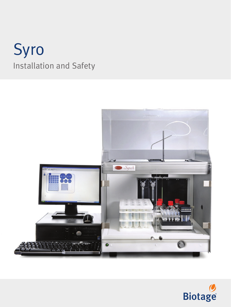# Syro Installation and Safety



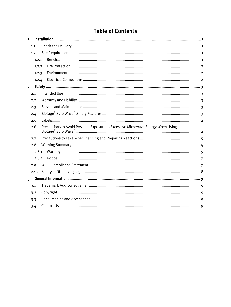# **Table of Contents**

| $\mathbf{1}$            |       |  |                                                                                 |  |  |
|-------------------------|-------|--|---------------------------------------------------------------------------------|--|--|
|                         | 1.1   |  |                                                                                 |  |  |
|                         | 1.2   |  |                                                                                 |  |  |
|                         | 1.2.1 |  |                                                                                 |  |  |
|                         | 1.2.2 |  |                                                                                 |  |  |
|                         | 1.2.3 |  |                                                                                 |  |  |
|                         | 1.2.4 |  |                                                                                 |  |  |
| $\mathbf{2}$            |       |  |                                                                                 |  |  |
|                         | 2.1   |  |                                                                                 |  |  |
|                         | 2.2   |  |                                                                                 |  |  |
|                         | 2.3   |  |                                                                                 |  |  |
|                         | 2.4   |  |                                                                                 |  |  |
|                         | 2.5   |  |                                                                                 |  |  |
|                         | 2.6   |  | Precautions to Avoid Possible Exposure to Excessive Microwave Energy When Using |  |  |
|                         | 2.7   |  |                                                                                 |  |  |
|                         | 2.8   |  |                                                                                 |  |  |
| 2.8.1                   |       |  |                                                                                 |  |  |
|                         | 2.8.2 |  |                                                                                 |  |  |
|                         | 2.9   |  |                                                                                 |  |  |
|                         | 2.10  |  |                                                                                 |  |  |
| $\overline{\mathbf{3}}$ |       |  |                                                                                 |  |  |
|                         | 3.1   |  |                                                                                 |  |  |
|                         | 3.2   |  |                                                                                 |  |  |
|                         | 3.3   |  |                                                                                 |  |  |
|                         | 3.4   |  |                                                                                 |  |  |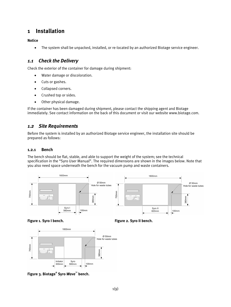# **1 Installation**

**Notice**

• The system shall be unpacked, installed, or re-located by an authorized Biotage service engineer.

# *1.1 Check the Delivery*

Check the exterior of the container for damage during shipment:

- Water damage or discoloration.
- Cuts or gashes.
- Collapsed corners.
- Crushed top or sides.
- Other physical damage.

If the container has been damaged during shipment, please contact the shipping agent and Biotage immediately. See contact information on the back of this document or visit our website www.biotage.com.

# *1.2 Site Requirements*

Before the system is installed by an authorized Biotage service engineer, the installation site should be prepared as follows:

### **1.2.1 Bench**

The bench should be flat, stable, and able to support the weight of the system; see the technical specification in the "Syro User Manual". The required dimensions are shown in the images below. Note that you also need space underneath the bench for the vacuum pump and waste containers.









**Figure 3. Biotage® Syro** *Wave***™ bench.**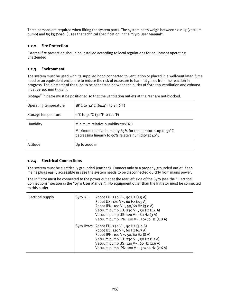Three persons are required when lifting the system parts. The system parts weigh between 12.2 kg (vacuum pump) and 85 kg (Syro II); see the technical specification in the "Syro User Manual".

### **1.2.2 Fire Protection**

External fire protection should be installed according to local regulations for equipment operating unattended.

#### **1.2.3 Environment**

The system must be used with its supplied hood connected to ventilation or placed in a well-ventilated fume hood or an equivalent enclosure to reduce the risk of exposure to harmful gases from the reaction in progress. The diameter of the tube to be connected between the outlet of Syro top-ventilation and exhaust must be 100 mm (3.94").

Biotage® Initiator must be positioned so that the ventilation outlets at the rear are not blocked.

| Operating temperature | 18°C to 32°C (64.4°F to 89.6°F)                                                                                                                                 |
|-----------------------|-----------------------------------------------------------------------------------------------------------------------------------------------------------------|
| Storage temperature   | $0^{\circ}$ C to 50 $^{\circ}$ C (32 $^{\circ}$ F to 122 $^{\circ}$ F)                                                                                          |
| Humidity              | Minimum relative humidity 20% RH<br>Maximum relative humidity 85% for temperatures up to $31^{\circ}$ C<br>decreasing linearly to 50% relative humidity at 40°C |
| Altitude              | Up to 2000 $m$                                                                                                                                                  |

#### **1.2.4 Electrical Connections**

The system must be electrically grounded (earthed). Connect only to a properly grounded outlet. Keep mains plugs easily accessible in case the system needs to be disconnected quickly from mains power.

The Initiator must be connected to the power outlet at the rear left side of the Syro (see the "Electrical Connections" section in the "Syro User Manual"). No equipment other than the Initiator must be connected to this outlet.

| Electrical supply | Syro $1/11$ : | Robot EU: 230 V $\sim$ , 50 Hz (1.5 A),<br>Robot US: 120 V~, 60 Hz (2.5 A)<br>Robot JPN: 100 V~, 50/60 Hz (3.0 A)<br>Vacuum pump EU: 230 V $\sim$ , 50 Hz (1.4 A)<br>Vacuum pump US: 120 $V \sim$ , 60 Hz (3 A)<br>Vacuum pump JPN: 100 V~, 50/60 Hz (3.8 A) |
|-------------------|---------------|--------------------------------------------------------------------------------------------------------------------------------------------------------------------------------------------------------------------------------------------------------------|
|                   |               | Syro <i>Wave</i> : Robot EU: 230 V~, 50 Hz (3.4 A)<br>Robot US: 120 V~, 60 Hz (6.7 A)<br>Robot JPN: 100 V~, 50/60 Hz (8 A)<br>Vacuum pump EU: 230 V~, 50 Hz (1.1 A)<br>Vacuum pump US: 120 V~, 60 Hz (2.6 A)<br>Vacuum pump JPN: 100 V~, 50/60 Hz (2.6 A)    |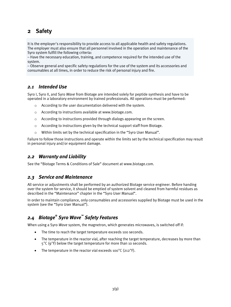# **2 Safety**

It is the employer's responsibility to provide access to all applicable health and safety regulations. The employer must also ensure that all personnel involved in the operation and maintenance of the Syro system fulfill the following criteria:

– Have the necessary education, training, and competence required for the intended use of the system.

– Observe general and specific safety regulations for the use of the system and its accessories and consumables at all times, in order to reduce the risk of personal injury and fire.

# *2.1 Intended Use*

Syro I, Syro II, and Syro *Wave* from Biotage are intended solely for peptide synthesis and have to be operated in a laboratory environment by trained professionals. All operations must be performed:

- o According to the user documentation delivered with the system.
- o According to instructions available at www.biotage.com.
- $\circ$  According to instructions provided through dialogs appearing on the screen.
- $\circ$  According to instructions given by the technical support staff from Biotage.
- o Within limits set by the technical specification in the "Syro User Manual".

Failure to follow those instructions and operate within the limits set by the technical specification may result in personal injury and/or equipment damage.

# *2.2 Warranty and Liability*

See the "Biotage Terms & Conditions of Sale" document at www.biotage.com.

# *2.3 Service and Maintenance*

All service or adjustments shall be performed by an authorized Biotage service engineer. Before handing over the system for service, it should be emptied of system solvent and cleaned from harmful residues as described in the "Maintenance" chapter in the "Syro User Manual".

In order to maintain compliance, only consumables and accessories supplied by Biotage must be used in the system (see the "Syro User Manual").

# *2.4 Biotage® Syro Wave™ Safety Features*

When using a Syro *Wave* system, the magnetron, which generates microwaves, is switched off if:

- The time to reach the target temperature exceeds 100 seconds.
- The temperature in the reactor vial, after reaching the target temperature, decreases by more than 5°C (9°F) below the target temperature for more than 10 seconds.
- The temperature in the reactor vial exceeds 100°C (212°F).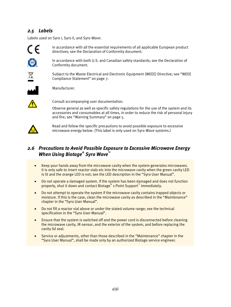# *2.5 Labels*

Labels used on Syro I, Syro II, and Syro *Wave*:



In accordance with all the essential requirements of all applicable European product directives; see the Declaration of Conformity document.



 $\cancel{R}$ 

In accordance with both U.S. and Canadian safety standards; see the Declaration of Conformity document.

Subject to the Waste Electrical and Electronic Equipment (WEEE) Directive; see "WEEE Compliance Statement" on page 7.



Manufacturer.



Consult accompanying user documentation.

Observe general as well as specific safety regulations for the use of the system and its accessories and consumables at all times, in order to reduce the risk of personal injury and fire; see "Warning Summary" on page 5.



Read and follow the specific precautions to avoid possible exposure to excessive microwave energy below. (This label is only used on Syro *Wave* systems.)

# *2.6 Precautions to Avoid Possible Exposure to Excessive Microwave Energy When Using Biotage® Syro Wave™*

- Keep your hands away from the microwave cavity when the system generates microwaves. It is only safe to insert reactor vials etc into the microwave cavity when the green cavity LED is lit and the orange LED is not; see the LED description in the "Syro User Manual".
- Do not operate a damaged system. If the system has been damaged and does not function properly, shut it down and contact Biotage® 1-Point Support™ immediately.
- Do not attempt to operate the system if the microwave cavity contains trapped objects or moisture. If this is the case, clean the microwave cavity as described in the "Maintenance" chapter in the "Syro User Manual".
- Do not fill a reactor vial above or under the stated volume range; see the technical specification in the "Syro User Manual".
- Ensure that the system is switched off and the power cord is disconnected before cleaning the microwave cavity, IR-sensor, and the exterior of the system, and before replacing the cavity lid seal.
- Service or adjustments, other than those described in the "Maintenance" chapter in the "Syro User Manual", shall be made only by an authorized Biotage service engineer.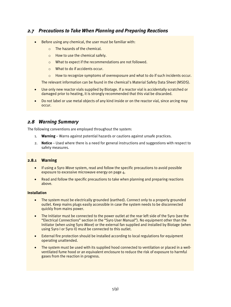# *2.7 Precautions to Take When Planning and Preparing Reactions*

- Before using any chemical, the user must be familiar with:
	- o The hazards of the chemical.
	- o How to use the chemical safely.
	- o What to expect if the recommendations are not followed.
	- o What to do if accidents occur.
	- $\circ$  How to recognize symptoms of overexposure and what to do if such incidents occur.

The relevant information can be found in the chemical's Material Safety Data Sheet (MSDS).

- Use only new reactor vials supplied by Biotage. If a reactor vial is accidentally scratched or damaged prior to heating, it is strongly recommended that this vial be discarded.
- Do not label or use metal objects of any kind inside or on the reactor vial, since arcing may occur.

# *2.8 Warning Summary*

The following conventions are employed throughout the system:

- 1. **Warning** Warns against potential hazards or cautions against unsafe practices.
- 2. **Notice** Used where there is a need for general instructions and suggestions with respect to safety measures.

#### **2.8.1 Warning**

- If using a Syro *Wave* system, read and follow the specific precautions to avoid possible exposure to excessive microwave energy on page  $\Delta$ .
- Read and follow the specific precautions to take when planning and preparing reactions above.

#### **Installation**

- The system must be electrically grounded (earthed). Connect only to a properly grounded outlet. Keep mains plugs easily accessible in case the system needs to be disconnected quickly from mains power.
- The Initiator must be connected to the power outlet at the rear left side of the Syro (see the "Electrical Connections" section in the "Syro User Manual"). No equipment other than the Initiator (when using Syro *Wave*) or the external fan supplied and installed by Biotage (when using Syro I or Syro II) must be connected to this outlet.
- External fire protection should be installed according to local regulations for equipment operating unattended.
- The system must be used with its supplied hood connected to ventilation or placed in a wellventilated fume hood or an equivalent enclosure to reduce the risk of exposure to harmful gases from the reaction in progress.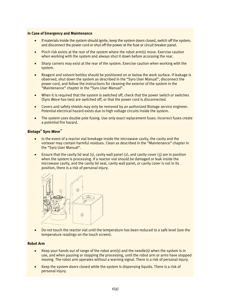#### **In Case of Emergency and Maintenance**

- If materials inside the system should ignite, keep the system doors closed, switch off the system, and disconnect the power cord or shut off the power at the fuse or circuit breaker panel.
- Pinch risk exists at the rear of the system where the robot arm(s) move. Exercise caution when working with the system and always shut it down before accessing the rear.
- Sharp corners may exist at the rear of the system. Exercise caution when working with the system.
- Reagent and solvent bottles should be positioned on or below the work surface. If leakage is observed, shut down the system as described in the "Syro User Manual", disconnect the power cord, and follow the instructions for cleaning the exterior of the system in the "Maintenance" chapter in the "Syro User Manual".
- When it is required that the system is switched off, check that the power switch or switches (Syro *Wave* has two) are switched off, or that the power cord is disconnected.
- Covers and safety shields may only be removed by an authorized Biotage service engineer. Potential electrical hazard exists due to high voltage circuits inside the system.
- The system uses double pole fusing. Use only exact replacement fuses. Incorrect fuses create a potential fire hazard.

#### **Biotage® Syro** *Wave™*

- In the event of a reactor vial breakage inside the microwave cavity, the cavity and the vortexer may contain harmful residues. Clean as described in the "Maintenance" chapter in the "Syro User Manual".
- Ensure that the cavity lid seal (1), cavity wall panel (2), and cavity cover (3) are in position when the system is processing. If a reactor vial should be damaged or leak inside the microwave cavity, and the cavity lid seal, cavity wall panel, or cavity cover is not in its position, there is a risk of personal injury.



• Do not touch the reactor vial until the temperature has been reduced to a safe level (see the temperature readings on the touch screen).

#### **Robot Arm**

- Keep your hands out of range of the robot arm(s) and the needle(s) when the system is in use, and when pausing or stopping the processing, until the robot arm or arms have stopped moving. The robot arm operates without a warning signal. There is a risk of personal injury.
- Keep the system doors closed while the system is dispensing liquids. There is a risk of personal injury.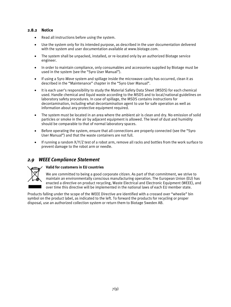#### **2.8.2 Notice**

- Read all instructions before using the system.
- Use the system only for its intended purpose, as described in the user documentation delivered with the system and user documentation available at www.biotage.com.
- The system shall be unpacked, installed, or re-located only by an authorized Biotage service engineer.
- In order to maintain compliance, only consumables and accessories supplied by Biotage must be used in the system (see the "Syro User Manual").
- If using a Syro *Wave* system and spillage inside the microwave cavity has occurred, clean it as described in the "Maintenance" chapter in the "Syro User Manual".
- It is each user's responsibility to study the Material Safety Data Sheet (MSDS) for each chemical used. Handle chemical and liquid waste according to the MSDS and to local/national guidelines on laboratory safety procedures. In case of spillage, the MSDS contains instructions for decontamination, including what decontamination agent to use for safe operation as well as information about any protective equipment required.
- The system must be located in an area where the ambient air is clean and dry. No emission of solid particles or smoke in the air by adjacent equipment is allowed. The level of dust and humidity should be comparable to that of normal laboratory spaces.
- Before operating the system, ensure that all connections are properly connected (see the "Syro User Manual") and that the waste containers are not full.
- If running a random X/Y/Z test of a robot arm, remove all racks and bottles from the work surface to prevent damage to the robot arm or needle.

# *2.9 WEEE Compliance Statement*



#### **Valid for customers in EU countries**

We are committed to being a good corporate citizen. As part of that commitment, we strive to maintain an environmentally conscious manufacturing operation. The European Union (EU) has enacted a directive on product recycling, Waste Electrical and Electronic Equipment (WEEE), and over time this directive will be implemented in the national laws of each EU member state.

Products falling under the scope of the WEEE Directive are identified with a crossed over "wheelie" bin symbol on the product label, as indicated to the left. To forward the products for recycling or proper disposal, use an authorized collection system or return them to Biotage Sweden AB.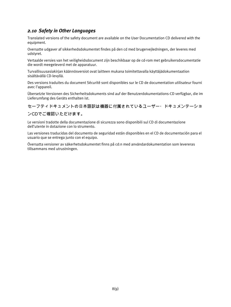# *2.10 Safety in Other Languages*

Translated versions of the safety document are available on the User Documentation CD delivered with the equipment.

Oversatte udgaver af sikkerhedsdokumentet findes på den cd med brugervejledningen, der leveres med udstyret.

Vertaalde versies van het veiligheidsdocument zijn beschikbaar op de cd-rom met gebruikersdocumentatie die wordt meegeleverd met de apparatuur.

Turvallisuusasiakirjan käännösversiot ovat laitteen mukana toimitettavalla käyttäjädokumentaation sisältävällä CD-levyllä.

Des versions traduites du document Sécurité sont disponibles sur le CD de documentation utilisateur fourni avec l'appareil.

Übersetzte Versionen des Sicherheitsdokuments sind auf der Benutzerdokumentations-CD verfügbar, die im Lieferumfang des Geräts enthalten ist.

## セーフティドキュメントの日本語訳は機器に付属されているユーザー・ドキュメンテーショ

#### ンCDでご確認いただけます。

Le versioni tradotte della documentazione di sicurezza sono disponibili sul CD di documentazione dell'utente in dotazione con lo strumento.

Las versiones traducidas del documento de seguridad están disponibles en el CD de documentación para el usuario que se entrega junto con el equipo.

Översatta versioner av säkerhetsdokumentet finns på cd:n med användardokumentation som levereras tillsammans med utrustningen.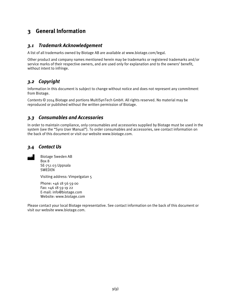# **3 General Information**

# *3.1 Trademark Acknowledgement*

A list of all trademarks owned by Biotage AB are available at www.biotage.com/legal.

Other product and company names mentioned herein may be trademarks or registered trademarks and/or service marks of their respective owners, and are used only for explanation and to the owners' benefit, without intent to infringe.

# *3.2 Copyright*

Information in this document is subject to change without notice and does not represent any commitment from Biotage.

Contents © 2014 Biotage and portions MultiSynTech GmbH. All rights reserved. No material may be reproduced or published without the written permission of Biotage.

# *3.3 Consumables and Accessories*

In order to maintain compliance, only consumables and accessories supplied by Biotage must be used in the system (see the "Syro User Manual"). To order consumables and accessories, see contact information on the back of this document or visit our website www.biotage.com.

# *3.4 Contact Us*



Biotage Sweden AB Box 8 SE-751 03 Uppsala SWEDEN

Visiting address: Vimpelgatan 5

Phone: +46 18 56 59 00 Fax: +46 18 59 19 22 E-mail: info@biotage.com Website: www.biotage.com

Please contact your local Biotage representative. See contact information on the back of this document or visit our website www.biotage.com.